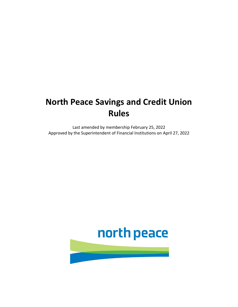# **North Peace Savings and Credit Union Rules**

Last amended by membership February 25, 2022 Approved by the Superintendent of Financial Institutions on April 27, 2022

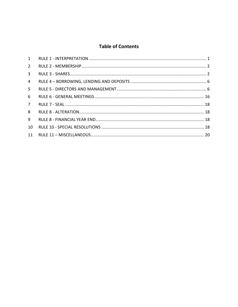# **Table of Contents**

| $2^{\circ}$  |  |
|--------------|--|
| $\mathbf{3}$ |  |
| 4            |  |
| 5            |  |
| 6            |  |
| $7^{\circ}$  |  |
| 8            |  |
| 9            |  |
| 10           |  |
| 11           |  |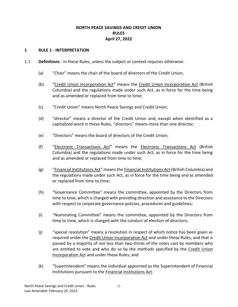# **NORTH PEACE SAVINGS AND CREDIT UNION RULES April 27, 2022**

#### <span id="page-2-0"></span>**1 RULE 1 - INTERPRETATION**

- 1.1 **Definitions** In these Rules, unless the subject or context requires otherwise:
	- (a) "Chair" means the chair of the board of directors of the Credit Union;
	- (b) "Credit Union Incorporation Act" means the Credit Union Incorporation Act (British Columbia) and the regulations made under such Act, as in force for the time being and as amended or replaced from time to time;
	- (c) "Credit Union" means North Peace Savings and Credit Union;
	- (d) "director" means a director of the Credit Union and, except when identified as a capitalized word in these Rules, "directors" means more than one director;
	- (e) "Directors" means the board of directors of the Credit Union;
	- (f) "Electronic Transactions Act" means the Electronic Transactions Act (British Columbia) and the regulations made under such Act, as in force for the time being and as amended or replaced from time to time;
	- (g) "Financial Institutions Act" means the Financial Institutions Act (British Columbia) and the regulations made under such Act, as in force for the time being and as amended or replaced from time to time;
	- (h) "Governance Committee" means the committee, appointed by the Directors from time to time, which is charged with providing direction and assistance to the Directors with respect to corporate governance policies, procedures and guidelines;
	- (i) "Nominating Committee" means the committee, appointed by the Directors from time to time, which is charged with the conduct of election of directors;
	- (j) "special resolution" means a resolution in respect of which notice has been given as required under the Credit Union Incorporation Act and under these Rules, and that is passed by a majority of not less than two-thirds of the votes cast by members who are entitled to vote and who do so by the methods specified by the Credit Union Incorporation Act and under these Rules; and
	- (k) "Superintendent" means the individual appointed as the Superintendent of Financial Institutions pursuant to the Financial Institutions Act.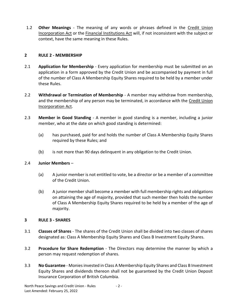1.2 **Other Meanings** - The meaning of any words or phrases defined in the Credit Union Incorporation Act or the Financial Institutions Act will, if not inconsistent with the subject or context, have the same meaning in these Rules.

#### <span id="page-3-0"></span>**2 RULE 2 - MEMBERSHIP**

- 2.1 **Application for Membership** Every application for membership must be submitted on an application in a form approved by the Credit Union and be accompanied by payment in full of the number of Class A Membership Equity Shares required to be held by a member under these Rules.
- 2.2 **Withdrawal or Termination of Membership** A member may withdraw from membership, and the membership of any person may be terminated, in accordance with the Credit Union Incorporation Act.
- 2.3 **Member in Good Standing** A member in good standing is a member, including a junior member, who at the date on which good standing is determined:
	- (a) has purchased, paid for and holds the number of Class A Membership Equity Shares required by these Rules; and
	- (b) is not more than 90 days delinquent in any obligation to the Credit Union.

#### 2.4 **Junior Members** –

- (a) A junior member is not entitled to vote, be a director or be a member of a committee of the Credit Union.
- (b) A junior member shall become a member with full membership rights and obligations on attaining the age of majority, provided that such member then holds the number of Class A Membership Equity Shares required to be held by a member of the age of majority.

#### <span id="page-3-1"></span>**3 RULE 3 - SHARES**

- 3.1 **Classes of Shares** The shares of the Credit Union shall be divided into two classes of shares designated as: Class A Membership Equity Shares and Class B Investment Equity Shares.
- 3.2 **Procedure for Share Redemption** The Directors may determine the manner by which a person may request redemption of shares.
- 3.3 **No Guarantee** Monies invested in Class A Membership Equity Shares and Class B Investment Equity Shares and dividends thereon shall not be guaranteed by the Credit Union Deposit Insurance Corporation of British Columbia.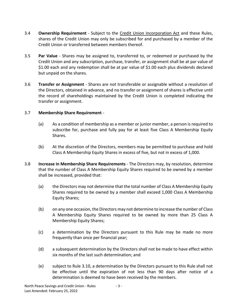- 3.4 **Ownership Requirement**  Subject to the Credit Union Incorporation Act and these Rules, shares of the Credit Union may only be subscribed for and purchased by a member of the Credit Union or transferred between members thereof.
- 3.5 **Par Value** Shares may be assigned to, transferred to, or redeemed or purchased by the Credit Union and any subscription, purchase, transfer, or assignment shall be at par value of \$1.00 each and any redemption shall be at par value of \$1.00 each plus dividends declared but unpaid on the shares.
- 3.6 **Transfer or Assignment** Shares are not transferable or assignable without a resolution of the Directors, obtained in advance, and no transfer or assignment of shares is effective until the record of shareholdings maintained by the Credit Union is completed indicating the transfer or assignment.

#### 3.7 **Membership Share Requirement** -

- (a) As a condition of membership as a member or junior member, a person is required to subscribe for, purchase and fully pay for at least five Class A Membership Equity Shares.
- (b) At the discretion of the Directors, members may be permitted to purchase and hold Class A Membership Equity Shares in excess of five, but not in excess of 1,000.
- 3.8 **Increase in Membership Share Requirements** The Directors may, by resolution, determine that the number of Class A Membership Equity Shares required to be owned by a member shall be increased, provided that:
	- (a) the Directors may not determine that the total number of Class A Membership Equity Shares required to be owned by a member shall exceed 1,000 Class A Membership Equity Shares;
	- (b) on any one occasion, the Directors may not determine to increase the number of Class A Membership Equity Shares required to be owned by more than 25 Class A Membership Equity Shares;
	- (c) a determination by the Directors pursuant to this Rule may be made no more frequently than once per financial year;
	- (d) a subsequent determination by the Directors shall not be made to have effect within six months of the last such determination; and
	- (e) subject to Rule 3.10, a determination by the Directors pursuant to this Rule shall not be effective until the expiration of not less than 90 days after notice of a determination is deemed to have been received by the members.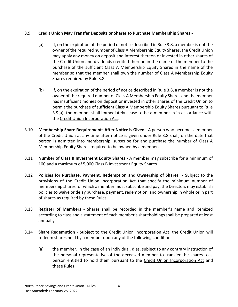## 3.9 **Credit Union May Transfer Deposits or Shares to Purchase Membership Shares** -

- (a) If, on the expiration of the period of notice described in Rule 3.8, a member is not the owner of the required number of Class A Membership Equity Shares, the Credit Union may apply any money on deposit and interest thereon or invested in other shares of the Credit Union and dividends credited thereon in the name of the member to the purchase of the sufficient Class A Membership Equity Shares in the name of the member so that the member shall own the number of Class A Membership Equity Shares required by Rule 3.8.
- (b) If, on the expiration of the period of notice described in Rule 3.8, a member is not the owner of the required number of Class A Membership Equity Shares and the member has insufficient monies on deposit or invested in other shares of the Credit Union to permit the purchase of sufficient Class A Membership Equity Shares pursuant to Rule 3.9(a), the member shall immediately cease to be a member in in accordance with the Credit Union Incorporation Act.
- 3.10 **Membership Share Requirements After Notice is Given** A person who becomes a member of the Credit Union at any time after notice is given under Rule 3.8 shall, on the date that person is admitted into membership, subscribe for and purchase the number of Class A Membership Equity Shares required to be owned by a member.
- 3.11 **Number of Class B Investment Equity Shares** A member may subscribe for a minimum of 100 and a maximum of 5,000 Class B Investment Equity Shares.
- 3.12 **Policies for Purchase, Payment, Redemption and Ownership of Shares** Subject to the provisions of the Credit Union Incorporation Act that specify the minimum number of membership shares for which a member must subscribe and pay, the Directors may establish policies to waive or delay purchase, payment, redemption, and ownership in whole or in part of shares as required by these Rules.
- 3.13 **Register of Members** Shares shall be recorded in the member's name and itemized according to class and a statement of each member's shareholdings shall be prepared at least annually.
- 3.14 **Share Redemption** Subject to the Credit Union Incorporation Act, the Credit Union will redeem shares held by a member upon any of the following conditions:
	- (a) the member, in the case of an individual, dies, subject to any contrary instruction of the personal representative of the deceased member to transfer the shares to a person entitled to hold them pursuant to the Credit Union Incorporation Act and these Rules;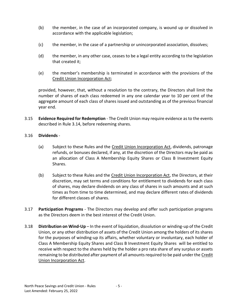- (b) the member, in the case of an incorporated company, is wound up or dissolved in accordance with the applicable legislation;
- (c) the member, in the case of a partnership or unincorporated association, dissolves;
- (d) the member, in any other case, ceases to be a legal entity according to the legislation that created it;
- (e) the member's membership is terminated in accordance with the provisions of the Credit Union Incorporation Act;

provided, however, that, without a resolution to the contrary, the Directors shall limit the number of shares of each class redeemed in any one calendar year to 10 per cent of the aggregate amount of each class of shares issued and outstanding as of the previous financial year end.

3.15 **Evidence Required for Redemption** - The Credit Union may require evidence as to the events described in Rule 3.14, before redeeming shares.

#### 3.16 **Dividends** -

- (a) Subject to these Rules and the Credit Union Incorporation Act, dividends, patronage refunds, or bonuses declared, if any, at the discretion of the Directors may be paid as an allocation of Class A Membership Equity Shares or Class B Investment Equity Shares.
- (b) Subject to these Rules and the Credit Union Incorporation Act, the Directors, at their discretion, may set terms and conditions for entitlement to dividends for each class of shares, may declare dividends on any class of shares in such amounts and at such times as from time to time determined, and may declare different rates of dividends for different classes of shares.
- 3.17 **Participation Programs** The Directors may develop and offer such participation programs as the Directors deem in the best interest of the Credit Union.
- 3.18 **Distribution on Wind-Up** In the event of liquidation, dissolution or winding-up of the Credit Union, or any other distribution of assets of the Credit Union among the holders of its shares for the purposes of winding-up its affairs, whether voluntary or involuntary, each holder of Class A Membership Equity Shares and Class B Investment Equity Shares will be entitled to receive with respect to the shares held by the holder a pro rata share of any surplus or assets remaining to be distributed after payment of all amounts required to be paid under the Credit Union Incorporation Act.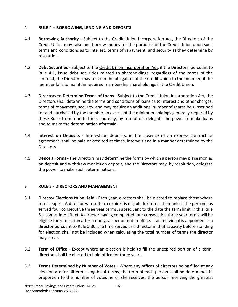# <span id="page-7-0"></span>**4 RULE 4 – BORROWING, LENDING AND DEPOSITS**

- 4.1 **Borrowing Authority**  Subject to the Credit Union Incorporation Act, the Directors of the Credit Union may raise and borrow money for the purposes of the Credit Union upon such terms and conditions as to interest, terms of repayment, and security as they determine by resolution.
- 4.2 **Debt Securities** Subject to the Credit Union Incorporation Act, if the Directors, pursuant to Rule 4.1, issue debt securities related to shareholdings, regardless of the terms of the contract, the Directors may redeem the obligation of the Credit Union to the member, if the member fails to maintain required membership shareholdings in the Credit Union.
- 4.3 **Directors to Determine Terms of Loans** Subject to the Credit Union Incorporation Act, the Directors shall determine the terms and conditions of loans as to interest and other charges, terms of repayment, security, and may require an additional number of shares be subscribed for and purchased by the member, in excess of the minimum holdings generally required by these Rules from time to time, and may, by resolution, delegate the power to make loans and to make the determination aforesaid.
- 4.4 **Interest on Deposits** Interest on deposits, in the absence of an express contract or agreement, shall be paid or credited at times, intervals and in a manner determined by the Directors.
- 4.5 **Deposit Forms** The Directors may determine the forms by which a person may place monies on deposit and withdraw monies on deposit, and the Directors may, by resolution, delegate the power to make such determinations.

#### <span id="page-7-1"></span>**5 RULE 5 - DIRECTORS AND MANAGEMENT**

- 5.1 **Director Elections to be Held** Each year, directors shall be elected to replace those whose terms expire. A director whose term expires is eligible for re-election unless the person has served four consecutive three year terms, subsequent to the date the term limit in this Rule 5.1 comes into effect. A director having completed four consecutive three year terms will be eligible for re-election after a one year period not in office. If an individual is appointed as a director pursuant to Rule 5.30, the time served as a director in that capacity before standing for election shall not be included when calculating the total number of terms the director may serve.
- 5.2 **Term of Office** Except where an election is held to fill the unexpired portion of a term, directors shall be elected to hold office for three years.
- 5.3 **Terms Determined by Number of Votes** Where any offices of directors being filled at any election are for different lengths of terms, the term of each person shall be determined in proportion to the number of votes he or she receives, the person receiving the greatest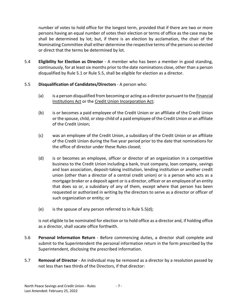number of votes to hold office for the longest term, provided that if there are two or more persons having an equal number of votes their election or terms of office as the case may be shall be determined by lot; but, if there is an election by acclamation, the chair of the Nominating Committee shall either determine the respective terms of the persons so elected or direct that the terms be determined by lot.

5.4 **Eligibility for Election as Director** - A member who has been a member in good standing, continuously, for at least six months prior to the date nominations close, other than a person disqualified by Rule 5.1 or Rule 5.5, shall be eligible for election as a director.

# 5.5 **Disqualification of Candidates/Directors** - A person who:

- (a) is a person disqualified from becoming or acting as a director pursuant to the Financial Institutions Act or the Credit Union Incorporation Act;
- (b) is or becomes a paid employee of the Credit Union or an affiliate of the Credit Union or the spouse, child, or step-child of a paid employee of the Credit Union or an affiliate of the Credit Union;
- (c) was an employee of the Credit Union, a subsidiary of the Credit Union or an affiliate of the Credit Union during the five year period prior to the date that nominations for the office of director under these Rules closed;
- (d) is or becomes an employee, officer or director of an organization in a competitive business to the Credit Union including a bank, trust company, loan company, savings and loan association, deposit-taking institution, lending institution or another credit union (other than a director of a central credit union) or is a person who acts as a mortgage broker or a deposit agent or is a director, officer or an employee of an entity that does so or, a subsidiary of any of them, except where that person has been requested or authorized in writing by the directors to serve as a director or officer of such organization or entity; or
- (e) is the spouse of any person referred to in Rule 5.5(d);

is not eligible to be nominated for election or to hold office as a director and, if holding office as a director, shall vacate office forthwith.

- 5.6 **Personal Information Return** Before commencing duties, a director shall complete and submit to the Superintendent the personal information return in the form prescribed by the Superintendent, disclosing the prescribed information.
- 5.7 **Removal of Director**  An individual may be removed as a director by a resolution passed by not less than two thirds of the Directors, if that director: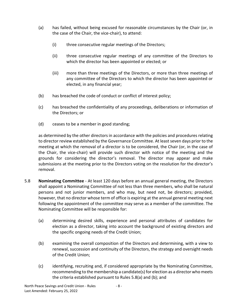- (a) has failed, without being excused for reasonable circumstances by the Chair (or, in the case of the Chair, the vice-chair), to attend:
	- (i) three consecutive regular meetings of the Directors;
	- (ii) three consecutive regular meetings of any committee of the Directors to which the director has been appointed or elected; or
	- (iii) more than three meetings of the Directors, or more than three meetings of any committee of the Directors to which the director has been appointed or elected, in any financial year;
- (b) has breached the code of conduct or conflict of interest policy;
- (c) has breached the confidentiality of any proceedings, deliberations or information of the Directors; or
- (d) ceases to be a member in good standing;

as determined by the other directors in accordance with the policies and procedures relating to director review established by the Governance Committee. At least seven days prior to the meeting at which the removal of a director is to be considered, the Chair (or, in the case of the Chair, the vice-chair) will provide such director with notice of the meeting and the grounds for considering the director's removal. The director may appear and make submissions at the meeting prior to the Directors voting on the resolution for the director's removal.

- 5.8 **Nominating Committee** At least 120 days before an annual general meeting, the Directors shall appoint a Nominating Committee of not less than three members, who shall be natural persons and not junior members, and who may, but need not, be directors; provided, however, that no director whose term of office is expiring at the annual general meeting next following the appointment of the committee may serve as a member of the committee. The Nominating Committee will be responsible for:
	- (a) determining desired skills, experience and personal attributes of candidates for election as a director, taking into account the background of existing directors and the specific ongoing needs of the Credit Union;
	- (b) examining the overall composition of the Directors and determining, with a view to renewal, succession and continuity of the Directors, the strategy and oversight needs of the Credit Union;
	- (c) identifying, recruiting and, if considered appropriate by the Nominating Committee, recommending to the membership a candidate(s) for election as a director who meets the criteria established pursuant to Rules 5.8(a) and (b); and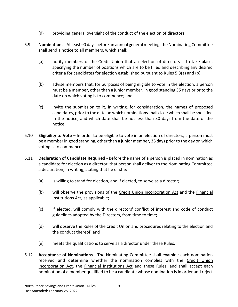- (d) providing general oversight of the conduct of the election of directors.
- 5.9 **Nominations** At least 90 days before an annual general meeting, the Nominating Committee shall send a notice to all members, which shall:
	- (a) notify members of the Credit Union that an election of directors is to take place, specifying the number of positions which are to be filled and describing any desired criteria for candidates for election established pursuant to Rules 5.8(a) and (b);
	- (b) advise members that, for purposes of being eligible to vote in the election, a person must be a member, other than a junior member, in good standing 35 days prior to the date on which voting is to commence; and
	- (c) invite the submission to it, in writing, for consideration, the names of proposed candidates, prior to the date on which nominations shall close which shall be specified in the notice, and which date shall be not less than 30 days from the date of the notice.
- 5.10 **Eligibility to Vote** In order to be eligible to vote in an election of directors, a person must be a member in good standing, other than a junior member, 35 days prior to the day on which voting is to commence.
- 5.11 **Declaration of Candidate Required** Before the name of a person is placed in nomination as a candidate for election as a director, that person shall deliver to the Nominating Committee a declaration, in writing, stating that he or she:
	- (a) is willing to stand for election, and if elected, to serve as a director;
	- (b) will observe the provisions of the Credit Union Incorporation Act and the Financial Institutions Act, as applicable;
	- (c) if elected, will comply with the directors' conflict of interest and code of conduct guidelines adopted by the Directors, from time to time;
	- (d) will observe the Rules of the Credit Union and procedures relating to the election and the conduct thereof; and
	- (e) meets the qualifications to serve as a director under these Rules.
- 5.12 **Acceptance of Nominations** The Nominating Committee shall examine each nomination received and determine whether the nomination complies with the Credit Union Incorporation Act, the Financial Institutions Act and these Rules, and shall accept each nomination of a member qualified to be a candidate whose nomination is in order and reject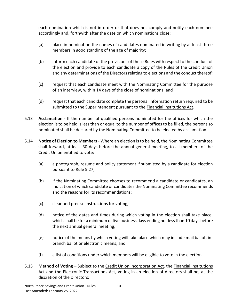each nomination which is not in order or that does not comply and notify each nominee accordingly and, forthwith after the date on which nominations close:

- (a) place in nomination the names of candidates nominated in writing by at least three members in good standing of the age of majority;
- (b) inform each candidate of the provisions of these Rules with respect to the conduct of the election and provide to each candidate a copy of the Rules of the Credit Union and any determinations of the Directors relating to elections and the conduct thereof;
- (c) request that each candidate meet with the Nominating Committee for the purpose of an interview, within 14 days of the close of nominations; and
- (d) request that each candidate complete the personal information return required to be submitted to the Superintendent pursuant to the Financial Institutions Act.
- 5.13 **Acclamation** If the number of qualified persons nominated for the offices for which the election is to be held is less than or equal to the number of offices to be filled, the persons so nominated shall be declared by the Nominating Committee to be elected by acclamation.
- 5.14 **Notice of Election to Members** Where an election is to be held, the Nominating Committee shall forward, at least 30 days before the annual general meeting, to all members of the Credit Union entitled to vote:
	- (a) a photograph, resume and policy statement if submitted by a candidate for election pursuant to Rule 5.27;
	- (b) if the Nominating Committee chooses to recommend a candidate or candidates, an indication of which candidate or candidates the Nominating Committee recommends and the reasons for its recommendations;
	- (c) clear and precise instructions for voting;
	- (d) notice of the dates and times during which voting in the election shall take place, which shall be for a minimum of five business days ending not less than 10 days before the next annual general meeting;
	- (e) notice of the means by which voting will take place which may include mail ballot, inbranch ballot or electronic means; and
	- (f) a list of conditions under which members will be eligible to vote in the election.
- 5.15 **Method of Voting** Subject to the Credit Union Incorporation Act*,* the Financial Institutions Act and the Electronic Transactions Act*,* voting in an election of directors shall be, at the discretion of the Directors: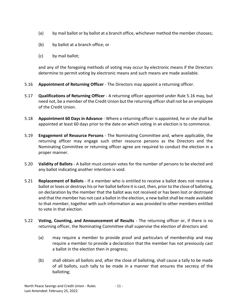- (a) by mail ballot or by ballot at a branch office, whichever method the member chooses;
- (b) by ballot at a branch office; or
- (c) by mail ballot;

and any of the foregoing methods of voting may occur by electronic means if the Directors determine to permit voting by electronic means and such means are made available.

- 5.16 **Appointment of Returning Officer** The Directors may appoint a returning officer.
- 5.17 **Qualifications of Returning Officer** A returning officer appointed under Rule 5.16 may, but need not, be a member of the Credit Union but the returning officer shall not be an employee of the Credit Union.
- 5.18 **Appointment 60 Days in Advance** Where a returning officer is appointed, he or she shall be appointed at least 60 days prior to the date on which voting in an election is to commence.
- 5.19 **Engagement of Resource Persons** The Nominating Committee and, where applicable, the returning officer may engage such other resource persons as the Directors and the Nominating Committee or returning officer agree are required to conduct the election in a proper manner.
- 5.20 **Validity of Ballots** A ballot must contain votes for the number of persons to be elected and any ballot indicating another intention is void.
- 5.21 **Replacement of Ballots** If a member who is entitled to receive a ballot does not receive a ballot or loses or destroys his or her ballot before it is cast, then, prior to the close of balloting, on declaration by the member that the ballot was not received or has been lost or destroyed and that the member has not cast a ballot in the election, a new ballot shall be made available to that member, together with such information as was provided to other members entitled to vote in that election.
- 5.22 **Voting, Counting, and Announcement of Results** The returning officer or, if there is no returning officer, the Nominating Committee shall supervise the election of directors and:
	- (a) may require a member to provide proof and particulars of membership and may require a member to provide a declaration that the member has not previously cast a ballot in the election then in progress;
	- (b) shall obtain all ballots and, after the close of balloting, shall cause a tally to be made of all ballots, such tally to be made in a manner that ensures the secrecy of the balloting;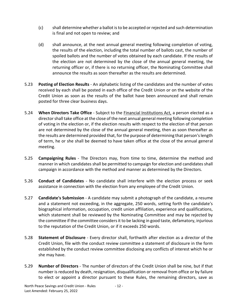- (c) shall determine whether a ballot is to be accepted or rejected and such determination is final and not open to review; and
- (d) shall announce, at the next annual general meeting following completion of voting, the results of the election, including the total number of ballots cast, the number of spoiled ballots and the number of votes obtained by each candidate. If the results of the election are not determined by the close of the annual general meeting, the returning officer or, if there is no returning officer, the Nominating Committee shall announce the results as soon thereafter as the results are determined.
- 5.23 **Posting of Election Results** An alphabetic listing of the candidates and the number of votes received by each shall be posted in each office of the Credit Union or on the website of the Credit Union as soon as the results of the ballot have been announced and shall remain posted for three clear business days.
- 5.24 **When Directors Take Office** Subject to the Financial Institutions Act, a person elected as a director shall take office at the close of the next annual general meeting following completion of voting in the election or, if the election results with respect to the election of that person are not determined by the close of the annual general meeting, then as soon thereafter as the results are determined provided that, for the purpose of determining that person's length of term, he or she shall be deemed to have taken office at the close of the annual general meeting.
- 5.25 **Campaigning Rules** The Directors may, from time to time, determine the method and manner in which candidates shall be permitted to campaign for election and candidates shall campaign in accordance with the method and manner as determined by the Directors.
- 5.26 **Conduct of Candidates** No candidate shall interfere with the election process or seek assistance in connection with the election from any employee of the Credit Union.
- 5.27 **Candidate's Submission** A candidate may submit a photograph of the candidate, a resume and a statement not exceeding, in the aggregate, 250 words, setting forth the candidate's biographical information, occupation, credit union affiliation, experience and qualifications, which statement shall be reviewed by the Nominating Committee and may be rejected by the committee if the committee considers it to be lacking in good taste, defamatory, injurious to the reputation of the Credit Union, or if it exceeds 250 words.
- 5.28 **Statement of Disclosure** Every director shall, forthwith after election as a director of the Credit Union, file with the conduct review committee a statement of disclosure in the form established by the conduct review committee disclosing any conflicts of interest which he or she may have.
- 5.29 **Number of Directors** The number of directors of the Credit Union shall be nine, but if that number is reduced by death, resignation, disqualification or removal from office or by failure to elect or appoint a director pursuant to these Rules, the remaining directors, save as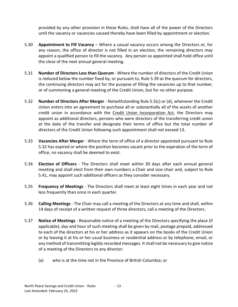provided by any other provision in these Rules, shall have all of the power of the Directors until the vacancy or vacancies caused thereby have been filled by appointment or election.

- 5.30 **Appointment to Fill Vacancy** Where a casual vacancy occurs among the Directors or, for any reason, the office of director is not filled in an election, the remaining directors may appoint a qualified person to fill the vacancy. Any person so appointed shall hold office until the close of the next annual general meeting.
- 5.31 **Number of Directors Less than Quorum** Where the number of directors of the Credit Union is reduced below the number fixed by, or pursuant to, Rule 5.39 as the quorum for directors, the continuing directors may act for the purpose of filling the vacancies up to that number, or of summoning a general meeting of the Credit Union, but for no other purpose.
- 5.32 **Number of Directors After Merger** Notwithstanding Rule 5.5(c) or (d), whenever the Credit Union enters into an agreement to purchase all or substantially all of the assets of another credit union in accordance with the Credit Union Incorporation Act, the Directors may appoint as additional directors, persons who were directors of the transferring credit union at the date of the transfer and designate their terms of office but the total number of directors of the Credit Union following such appointment shall not exceed 13.
- 5.33 **Vacancies After Merger** Where the term of office of a director appointed pursuant to Rule 5.32 has expired or where the position becomes vacant prior to the expiration of the term of office, no vacancy shall be deemed to exist.
- 5.34 **Election of Officers** The Directors shall meet within 30 days after each annual general meeting and shall elect from their own numbers a Chair and vice-chair and, subject to Rule 5.41, may appoint such additional officers as they consider necessary.
- 5.35 **Frequency of Meetings** The Directors shall meet at least eight times in each year and not less frequently than once in each quarter.
- 5.36 **Calling Meetings** The Chair may call a meeting of the Directors at any time and shall, within 14 days of receipt of a written request of three directors, call a meeting of the Directors.
- 5.37 **Notice of Meetings** Reasonable notice of a meeting of the Directors specifying the place (if applicable), day and hour of such meeting shall be given by mail, postage prepaid, addressed to each of the directors at his or her address as it appears on the books of the Credit Union or by leaving it at his or her usual business or residential address or by telephone, email, or any method of transmitting legibly recorded messages. It shall not be necessary to give notice of a meeting of the Directors to any director:
	- (a) who is at the time not in the Province of British Columbia; or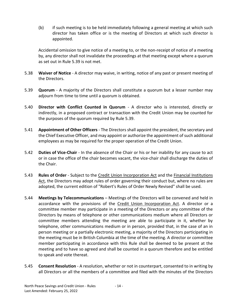(b) if such meeting is to be held immediately following a general meeting at which such director has taken office or is the meeting of Directors at which such director is appointed.

Accidental omission to give notice of a meeting to, or the non-receipt of notice of a meeting by, any director shall not invalidate the proceedings at that meeting except where a quorum as set out in Rule 5.39 is not met.

- 5.38 **Waiver of Notice** A director may waive, in writing, notice of any past or present meeting of the Directors.
- 5.39 **Quorum** A majority of the Directors shall constitute a quorum but a lesser number may adjourn from time to time until a quorum is obtained.
- 5.40 **Director with Conflict Counted in Quorum** A director who is interested, directly or indirectly, in a proposed contract or transaction with the Credit Union may be counted for the purposes of the quorum required by Rule 5.39.
- 5.41 **Appointment of Other Officers** The Directors shall appoint the president, the secretary and the Chief Executive Officer, and may appoint or authorize the appointment of such additional employees as may be required for the proper operation of the Credit Union.
- 5.42 **Duties of Vice-Chair** In the absence of the Chair or his or her inability for any cause to act or in case the office of the chair becomes vacant, the vice-chair shall discharge the duties of the Chair.
- 5.43 **Rules of Order** Subject to the Credit Union Incorporation Act and the Financial Institutions Act, the Directors may adopt rules of order governing their conduct but, where no rules are adopted, the current edition of "Robert's Rules of Order Newly Revised" shall be used.
- 5.44 **Meetings by Telecommunications**  Meetings of the Directors will be convened and held in accordance with the provisions of the Credit Union Incorporation Act. A director or a committee member may participate in a meeting of the Directors or any committee of the Directors by means of telephone or other communications medium where all Directors or committee members attending the meeting are able to participate in it, whether by telephone, other communications medium or in person, provided that, in the case of an in person meeting or a partially electronic meeting, a majority of the Directors participating in the meeting must be in British Columbia at the time of the meeting. A director or committee member participating in accordance with this Rule shall be deemed to be present at the meeting and to have so agreed and shall be counted in a quorum therefore and be entitled to speak and vote thereat.
- 5.45 **Consent Resolution** A resolution, whether or not in counterpart, consented to in writing by all Directors or all the members of a committee and filed with the minutes of the Directors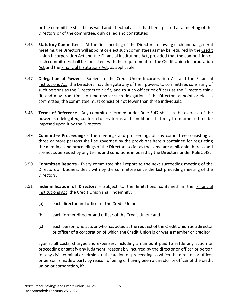or the committee shall be as valid and effectual as if it had been passed at a meeting of the Directors or of the committee, duly called and constituted.

- 5.46 **Statutory Committees** At the first meeting of the Directors following each annual general meeting, the Directors will appoint or elect such committees as may be required by the Credit Union Incorporation Act and the Financial Institutions Act, provided that the composition of such committees shall be consistent with the requirements of the Credit Union Incorporation Act and the Financial Institutions Act, as applicable.
- 5.47 **Delegation of Powers** Subject to the Credit Union Incorporation Act and the Financial Institutions Act, the Directors may delegate any of their powers to committees consisting of such persons as the Directors think fit, and to such officer or officers as the Directors think fit, and may from time to time revoke such delegation. If the Directors appoint or elect a committee, the committee must consist of not fewer than three individuals.
- 5.48 **Terms of Reference** Any committee formed under Rule 5.47 shall, in the exercise of the powers so delegated, conform to any terms and conditions that may from time to time be imposed upon it by the Directors.
- 5.49 **Committee Proceedings** The meetings and proceedings of any committee consisting of three or more persons shall be governed by the provisions herein contained for regulating the meetings and proceedings of the Directors so far as the same are applicable thereto and are not superseded by any terms and conditions imposed by the Directors under Rule 5.48.
- 5.50 **Committee Reports** Every committee shall report to the next succeeding meeting of the Directors all business dealt with by the committee since the last preceding meeting of the Directors.
- 5.51 **Indemnification of Directors** Subject to the limitations contained in the Financial Institutions Act, the Credit Union shall indemnify:
	- (a) each director and officer of the Credit Union;
	- (b) each former director and officer of the Credit Union; and
	- (c) each person who acts or who has acted at the request of the Credit Union as a director or officer of a corporation of which the Credit Union is or was a member or creditor;

against all costs, charges and expenses, including an amount paid to settle any action or proceeding or satisfy any judgment, reasonably incurred by the director or officer or person for any civil, criminal or administrative action or proceeding to which the director or officer or person is made a party by reason of being or having been a director or officer of the credit union or corporation, if: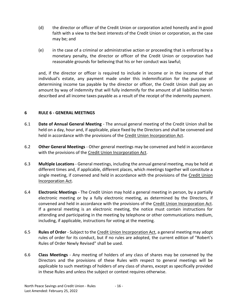- (d) the director or officer of the Credit Union or corporation acted honestly and in good faith with a view to the best interests of the Credit Union or corporation, as the case may be; and
- (e) in the case of a criminal or administrative action or proceeding that is enforced by a monetary penalty, the director or officer of the Credit Union or corporation had reasonable grounds for believing that his or her conduct was lawful;

and, if the director or officer is required to include in income or in the income of that individual's estate, any payment made under this indemnification for the purpose of determining income tax payable by the director or officer, the Credit Union shall pay an amount by way of indemnity that will fully indemnify for the amount of all liabilities herein described and all income taxes payable as a result of the receipt of the indemnity payment.

# <span id="page-17-0"></span>**6 RULE 6 - GENERAL MEETINGS**

- 6.1 **Date of Annual General Meeting** The annual general meeting of the Credit Union shall be held on a day, hour and, if applicable, place fixed by the Directors and shall be convened and held in accordance with the provisions of the Credit Union Incorporation Act.
- 6.2 **Other General Meetings** Other general meetings may be convened and held in accordance with the provisions of the Credit Union Incorporation Act.
- 6.3 **Multiple Locations** General meetings, including the annual general meeting, may be held at different times and, if applicable, different places, which meetings together will constitute a single meeting, if convened and held in accordance with the provisions of the Credit Union Incorporation Act.
- 6.4 **Electronic Meetings** The Credit Union may hold a general meeting in person, by a partially electronic meeting or by a fully electronic meeting, as determined by the Directors, if convened and held in accordance with the provisions of the Credit Union Incorporation Act. If a general meeting is an electronic meeting, the notice must contain instructions for attending and participating in the meeting by telephone or other communications medium, including, if applicable, instructions for voting at the meeting.
- 6.5 **Rules of Order** Subject to the Credit Union Incorporation Act, a general meeting may adopt rules of order for its conduct, but if no rules are adopted, the current edition of "Robert's Rules of Order Newly Revised" shall be used.
- 6.6 **Class Meetings** Any meeting of holders of any class of shares may be convened by the Directors and the provisions of these Rules with respect to general meetings will be applicable to such meetings of holders of any class of shares, except as specifically provided in these Rules and unless the subject or context requires otherwise.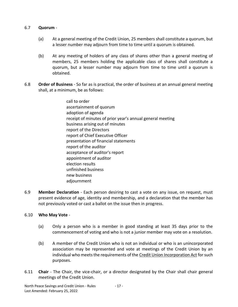#### 6.7 **Quorum** -

- (a) At a general meeting of the Credit Union, 25 members shall constitute a quorum, but a lesser number may adjourn from time to time until a quorum is obtained.
- (b) At any meeting of holders of any class of shares other than a general meeting of members, 25 members holding the applicable class of shares shall constitute a quorum, but a lesser number may adjourn from time to time until a quorum is obtained.
- 6.8 **Order of Business** So far as is practical, the order of business at an annual general meeting shall, at a minimum, be as follows:
	- call to order ascertainment of quorum adoption of agenda receipt of minutes of prior year's annual general meeting business arising out of minutes report of the Directors report of Chief Executive Officer presentation of financial statements report of the auditor acceptance of auditor's report appointment of auditor election results unfinished business new business adjournment
- 6.9 **Member Declaration** Each person desiring to cast a vote on any issue, on request, must present evidence of age, identity and membership, and a declaration that the member has not previously voted or cast a ballot on the issue then in progress.

#### 6.10 **Who May Vote** -

- (a) Only a person who is a member in good standing at least 35 days prior to the commencement of voting and who is not a junior member may vote on a resolution.
- (b) A member of the Credit Union who is not an individual or who is an unincorporated association may be represented and vote at meetings of the Credit Union by an individual who meets the requirements of the Credit Union Incorporation Act for such purposes.
- 6.11 **Chair** The Chair, the vice-chair, or a director designated by the Chair shall chair general meetings of the Credit Union.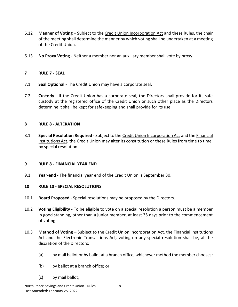- 6.12 **Manner of Voting** Subject to the Credit Union Incorporation Act and these Rules, the chair of the meeting shall determine the manner by which voting shall be undertaken at a meeting of the Credit Union.
- 6.13 **No Proxy Voting** Neither a member nor an auxiliary member shall vote by proxy.

# <span id="page-19-0"></span>**7 RULE 7 - SEAL**

- 7.1 **Seal Optional** The Credit Union may have a corporate seal.
- 7.2 **Custody** If the Credit Union has a corporate seal, the Directors shall provide for its safe custody at the registered office of the Credit Union or such other place as the Directors determine it shall be kept for safekeeping and shall provide for its use.

# <span id="page-19-1"></span>**8 RULE 8 - ALTERATION**

8.1 **Special Resolution Required** - Subject to the Credit Union Incorporation Act and the Financial Institutions Act, the Credit Union may alter its constitution or these Rules from time to time, by special resolution.

#### <span id="page-19-2"></span>**9 RULE 8 - FINANCIAL YEAR END**

9.1 **Year-end** - The financial year end of the Credit Union is September 30.

# <span id="page-19-3"></span>**10 RULE 10 - SPECIAL RESOLUTIONS**

- 10.1 **Board Proposed** Special resolutions may be proposed by the Directors.
- 10.2 **Voting Eligibility** To be eligible to vote on a special resolution a person must be a member in good standing, other than a junior member, at least 35 days prior to the commencement of voting.
- 10.3 **Method of Voting** Subject to the Credit Union Incorporation Act*,* the Financial Institutions Act and the Electronic Transactions Act*,* voting on any special resolution shall be, at the discretion of the Directors:
	- (a) by mail ballot or by ballot at a branch office, whichever method the member chooses;
	- (b) by ballot at a branch office; or
	- (c) by mail ballot;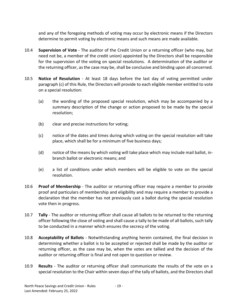and any of the foregoing methods of voting may occur by electronic means if the Directors determine to permit voting by electronic means and such means are made available.

- 10.4 **Supervision of Vote** The auditor of the Credit Union or a returning officer (who may, but need not be, a member of the credit union) appointed by the Directors shall be responsible for the supervision of the voting on special resolutions. A determination of the auditor or the returning officer, as the case may be, shall be conclusive and binding upon all concerned.
- 10.5 **Notice of Resolution** At least 18 days before the last day of voting permitted under paragraph (c) of this Rule, the Directors will provide to each eligible member entitled to vote on a special resolution:
	- (a) the wording of the proposed special resolution, which may be accompanied by a summary description of the change or action proposed to be made by the special resolution;
	- (b) clear and precise instructions for voting;
	- (c) notice of the dates and times during which voting on the special resolution will take place, which shall be for a minimum of five business days;
	- (d) notice of the means by which voting will take place which may include mail ballot, inbranch ballot or electronic means; and
	- (e) a list of conditions under which members will be eligible to vote on the special resolution.
- 10.6 **Proof of Membership** The auditor or returning officer may require a member to provide proof and particulars of membership and eligibility and may require a member to provide a declaration that the member has not previously cast a ballot during the special resolution vote then in progress.
- 10.7 **Tally** The auditor or returning officer shall cause all ballots to be returned to the returning officer following the close of voting and shall cause a tally to be made of all ballots, such tally to be conducted in a manner which ensures the secrecy of the voting.
- 10.8 **Acceptability of Ballots** Notwithstanding anything herein contained, the final decision in determining whether a ballot is to be accepted or rejected shall be made by the auditor or returning officer, as the case may be, when the votes are tallied and the decision of the auditor or returning officer is final and not open to question or review.
- 10.9 **Results** The auditor or returning officer shall communicate the results of the vote on a special resolution to the Chair within seven days of the tally of ballots, and the Directors shall